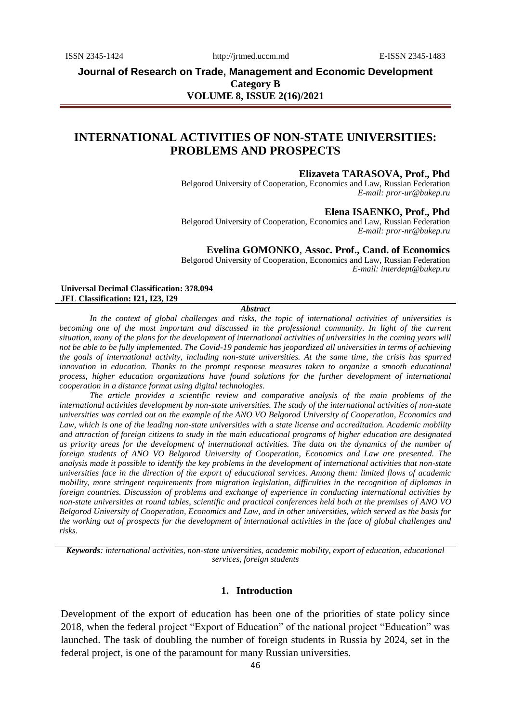ISSN 2345-1424 http://jrtmed.uccm.md E-ISSN 2345-1483

**Journal of Research on Trade, Management and Economic Development Category B VOLUME 8, ISSUE 2(16)/2021**

# **INTERNATIONAL ACTIVITIES OF NON-STATE UNIVERSITIES: PROBLEMS AND PROSPECTS**

### **Elizaveta TARASOVA, Prof., Phd**

Belgorod University of Cooperation, Economics and Law, Russian Federation *E-mail: pror-ur@bukep.ru*

## **Elena ISAENKO, Prof., Phd**

Belgorod University of Cooperation, Economics and Law, Russian Federation *E-mail: pror-nr@bukep.ru*

## **Evelina GOMONKO**, **Assoc. Prof., Cand. of Economics**

Belgorod University of Cooperation, Economics and Law, Russian Federation *E-mail: interdept@bukep.ru*

#### **Universal Decimal Classification: 378.094 JEL Classification: I21, I23, I29**

#### *Abstract*

*In the context of global challenges and risks, the topic of international activities of universities is*  becoming one of the most important and discussed in the professional community. In light of the current *situation, many of the plans for the development of international activities of universities in the coming years will not be able to be fully implemented. The Covid-19 pandemic has jeopardized all universities in terms of achieving the goals of international activity, including non-state universities. At the same time, the crisis has spurred innovation in education. Thanks to the prompt response measures taken to organize a smooth educational process, higher education organizations have found solutions for the further development of international cooperation in a distance format using digital technologies.*

*The article provides a scientific review and comparative analysis of the main problems of the international activities development by non-state universities. The study of the international activities of non-state universities was carried out on the example of the ANO VO Belgorod University of Cooperation, Economics and Law, which is one of the leading non-state universities with a state license and accreditation. Academic mobility and attraction of foreign citizens to study in the main educational programs of higher education are designated as priority areas for the development of international activities. The data on the dynamics of the number of foreign students of ANO VO Belgorod University of Cooperation, Economics and Law are presented. The analysis made it possible to identify the key problems in the development of international activities that non-state universities face in the direction of the export of educational services. Among them: limited flows of academic mobility, more stringent requirements from migration legislation, difficulties in the recognition of diplomas in foreign countries. Discussion of problems and exchange of experience in conducting international activities by non-state universities at round tables, scientific and practical conferences held both at the premises of ANO VO Belgorod University of Cooperation, Economics and Law, and in other universities, which served as the basis for the working out of prospects for the development of international activities in the face of global challenges and risks.*

*Keywords: international activities, non-state universities, academic mobility, export of education, educational services, foreign students*

## **1. Introduction**

Development of the export of education has been one of the priorities of state policy since 2018, when the federal project "Export of Education" of the national project "Education" was launched. The task of doubling the number of foreign students in Russia by 2024, set in the federal project, is one of the paramount for many Russian universities.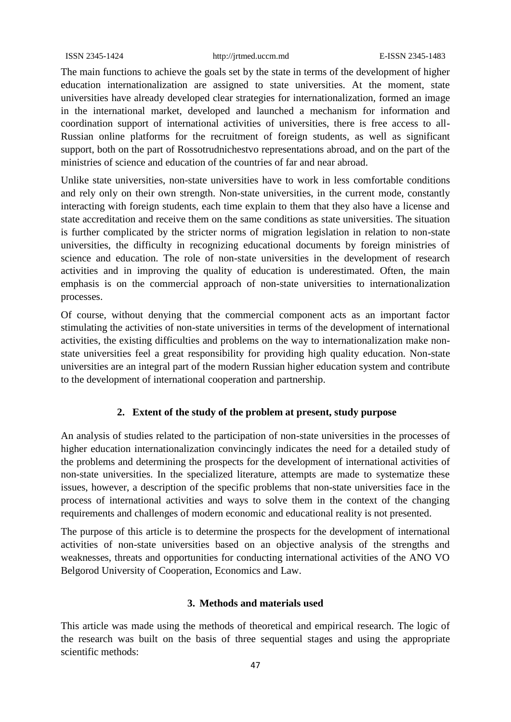ISSN 2345-1424 http://jrtmed.uccm.md E-ISSN 2345-1483

The main functions to achieve the goals set by the state in terms of the development of higher education internationalization are assigned to state universities. At the moment, state universities have already developed clear strategies for internationalization, formed an image in the international market, developed and launched a mechanism for information and coordination support of international activities of universities, there is free access to all-Russian online platforms for the recruitment of foreign students, as well as significant support, both on the part of Rossotrudnichestvo representations abroad, and on the part of the ministries of science and education of the countries of far and near abroad.

Unlike state universities, non-state universities have to work in less comfortable conditions and rely only on their own strength. Non-state universities, in the current mode, constantly interacting with foreign students, each time explain to them that they also have a license and state accreditation and receive them on the same conditions as state universities. The situation is further complicated by the stricter norms of migration legislation in relation to non-state universities, the difficulty in recognizing educational documents by foreign ministries of science and education. The role of non-state universities in the development of research activities and in improving the quality of education is underestimated. Often, the main emphasis is on the commercial approach of non-state universities to internationalization processes.

Of course, without denying that the commercial component acts as an important factor stimulating the activities of non-state universities in terms of the development of international activities, the existing difficulties and problems on the way to internationalization make nonstate universities feel a great responsibility for providing high quality education. Non-state universities are an integral part of the modern Russian higher education system and contribute to the development of international cooperation and partnership.

# **2. Extent of the study of the problem at present, study purpose**

An analysis of studies related to the participation of non-state universities in the processes of higher education internationalization convincingly indicates the need for a detailed study of the problems and determining the prospects for the development of international activities of non-state universities. In the specialized literature, attempts are made to systematize these issues, however, a description of the specific problems that non-state universities face in the process of international activities and ways to solve them in the context of the changing requirements and challenges of modern economic and educational reality is not presented.

The purpose of this article is to determine the prospects for the development of international activities of non-state universities based on an objective analysis of the strengths and weaknesses, threats and opportunities for conducting international activities of the ANO VO Belgorod University of Cooperation, Economics and Law.

## **3. Methods and materials used**

This article was made using the methods of theoretical and empirical research. The logic of the research was built on the basis of three sequential stages and using the appropriate scientific methods: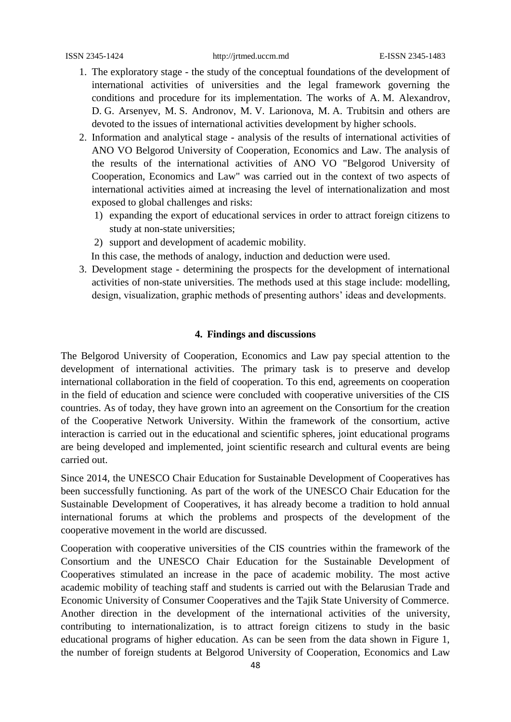- 1. The exploratory stage the study of the conceptual foundations of the development of international activities of universities and the legal framework governing the conditions and procedure for its implementation. The works of A. M. Alexandrov, D. G. Arsenyev, M. S. Andronov, M. V. Larionova, M. A. Trubitsin and others are devoted to the issues of international activities development by higher schools.
- 2. Information and analytical stage analysis of the results of international activities of ANO VO Belgorod University of Cooperation, Economics and Law. The analysis of the results of the international activities of ANO VO "Belgorod University of Cooperation, Economics and Law" was carried out in the context of two aspects of international activities aimed at increasing the level of internationalization and most exposed to global challenges and risks:
	- 1) expanding the export of educational services in order to attract foreign citizens to study at non-state universities;
	- 2) support and development of academic mobility.
	- In this case, the methods of analogy, induction and deduction were used.
- 3. Development stage determining the prospects for the development of international activities of non-state universities. The methods used at this stage include: modelling, design, visualization, graphic methods of presenting authors' ideas and developments.

# **4. Findings and discussions**

The Belgorod University of Cooperation, Economics and Law pay special attention to the development of international activities. The primary task is to preserve and develop international collaboration in the field of cooperation. To this end, agreements on cooperation in the field of education and science were concluded with cooperative universities of the CIS countries. As of today, they have grown into an agreement on the Consortium for the creation of the Cooperative Network University. Within the framework of the consortium, active interaction is carried out in the educational and scientific spheres, joint educational programs are being developed and implemented, joint scientific research and cultural events are being carried out.

Since 2014, the UNESCO Chair Education for Sustainable Development of Cooperatives has been successfully functioning. As part of the work of the UNESCO Chair Education for the Sustainable Development of Cooperatives, it has already become a tradition to hold annual international forums at which the problems and prospects of the development of the cooperative movement in the world are discussed.

Cooperation with cooperative universities of the CIS countries within the framework of the Consortium and the UNESCO Chair Education for the Sustainable Development of Cooperatives stimulated an increase in the pace of academic mobility. The most active academic mobility of teaching staff and students is carried out with the Belarusian Trade and Economic University of Consumer Cooperatives and the Tajik State University of Commerce. Another direction in the development of the international activities of the university, contributing to internationalization, is to attract foreign citizens to study in the basic educational programs of higher education. As can be seen from the data shown in Figure 1, the number of foreign students at Belgorod University of Cooperation, Economics and Law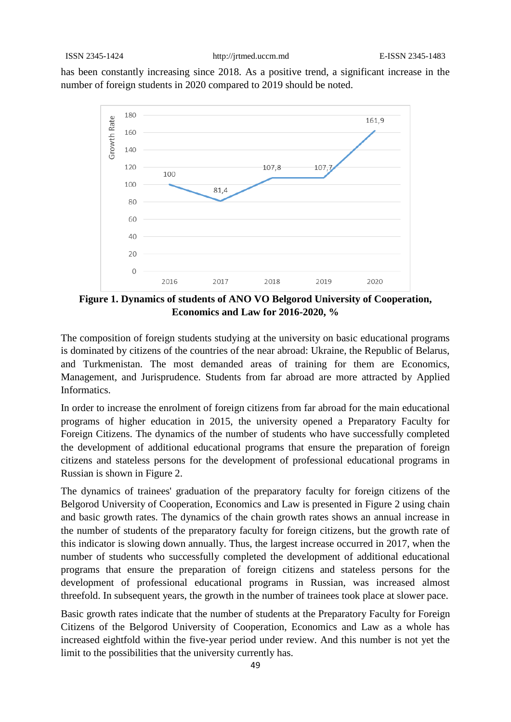has been constantly increasing since 2018. As a positive trend, a significant increase in the number of foreign students in 2020 compared to 2019 should be noted.



**Figure 1. Dynamics of students of ANO VO Belgorod University of Cooperation, Economics and Law for 2016-2020, %**

The composition of foreign students studying at the university on basic educational programs is dominated by citizens of the countries of the near abroad: Ukraine, the Republic of Belarus, and Turkmenistan. The most demanded areas of training for them are Economics, Management, and Jurisprudence. Students from far abroad are more attracted by Applied Informatics.

In order to increase the enrolment of foreign citizens from far abroad for the main educational programs of higher education in 2015, the university opened a Preparatory Faculty for Foreign Citizens. The dynamics of the number of students who have successfully completed the development of additional educational programs that ensure the preparation of foreign citizens and stateless persons for the development of professional educational programs in Russian is shown in Figure 2.

The dynamics of trainees' graduation of the preparatory faculty for foreign citizens of the Belgorod University of Cooperation, Economics and Law is presented in Figure 2 using chain and basic growth rates. The dynamics of the chain growth rates shows an annual increase in the number of students of the preparatory faculty for foreign citizens, but the growth rate of this indicator is slowing down annually. Thus, the largest increase occurred in 2017, when the number of students who successfully completed the development of additional educational programs that ensure the preparation of foreign citizens and stateless persons for the development of professional educational programs in Russian, was increased almost threefold. In subsequent years, the growth in the number of trainees took place at slower pace.

Basic growth rates indicate that the number of students at the Preparatory Faculty for Foreign Citizens of the Belgorod University of Cooperation, Economics and Law as a whole has increased eightfold within the five-year period under review. And this number is not yet the limit to the possibilities that the university currently has.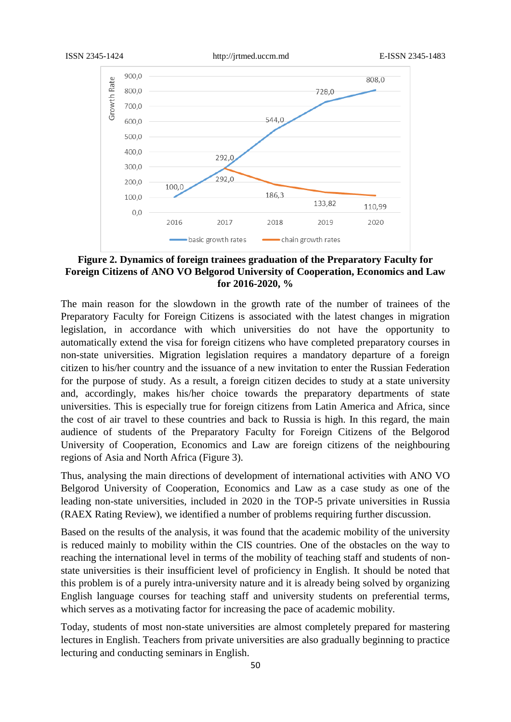

# **Figure 2. Dynamics of foreign trainees graduation of the Preparatory Faculty for Foreign Citizens of ANO VO Belgorod University of Cooperation, Economics and Law for 2016-2020, %**

The main reason for the slowdown in the growth rate of the number of trainees of the Preparatory Faculty for Foreign Citizens is associated with the latest changes in migration legislation, in accordance with which universities do not have the opportunity to automatically extend the visa for foreign citizens who have completed preparatory courses in non-state universities. Migration legislation requires a mandatory departure of a foreign citizen to his/her country and the issuance of a new invitation to enter the Russian Federation for the purpose of study. As a result, a foreign citizen decides to study at a state university and, accordingly, makes his/her choice towards the preparatory departments of state universities. This is especially true for foreign citizens from Latin America and Africa, since the cost of air travel to these countries and back to Russia is high. In this regard, the main audience of students of the Preparatory Faculty for Foreign Citizens of the Belgorod University of Cooperation, Economics and Law are foreign citizens of the neighbouring regions of Asia and North Africa (Figure 3).

Thus, analysing the main directions of development of international activities with ANO VO Belgorod University of Cooperation, Economics and Law as a case study as one of the leading non-state universities, included in 2020 in the TOP-5 private universities in Russia (RAEX Rating Review), we identified a number of problems requiring further discussion.

Based on the results of the analysis, it was found that the academic mobility of the university is reduced mainly to mobility within the CIS countries. One of the obstacles on the way to reaching the international level in terms of the mobility of teaching staff and students of nonstate universities is their insufficient level of proficiency in English. It should be noted that this problem is of a purely intra-university nature and it is already being solved by organizing English language courses for teaching staff and university students on preferential terms, which serves as a motivating factor for increasing the pace of academic mobility.

Today, students of most non-state universities are almost completely prepared for mastering lectures in English. Teachers from private universities are also gradually beginning to practice lecturing and conducting seminars in English.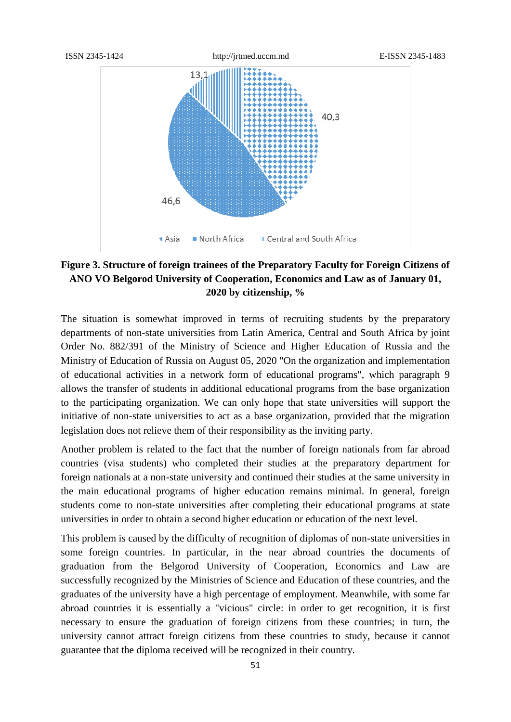

# **Figure 3. Structure of foreign trainees of the Preparatory Faculty for Foreign Citizens of ANO VO Belgorod University of Cooperation, Economics and Law as of January 01, 2020 by citizenship, %**

The situation is somewhat improved in terms of recruiting students by the preparatory departments of non-state universities from Latin America, Central and South Africa by joint Order No. 882/391 of the Ministry of Science and Higher Education of Russia and the Ministry of Education of Russia on August 05, 2020 "On the organization and implementation of educational activities in a network form of educational programs", which paragraph 9 allows the transfer of students in additional educational programs from the base organization to the participating organization. We can only hope that state universities will support the initiative of non-state universities to act as a base organization, provided that the migration legislation does not relieve them of their responsibility as the inviting party.

Another problem is related to the fact that the number of foreign nationals from far abroad countries (visa students) who completed their studies at the preparatory department for foreign nationals at a non-state university and continued their studies at the same university in the main educational programs of higher education remains minimal. In general, foreign students come to non-state universities after completing their educational programs at state universities in order to obtain a second higher education or education of the next level.

This problem is caused by the difficulty of recognition of diplomas of non-state universities in some foreign countries. In particular, in the near abroad countries the documents of graduation from the Belgorod University of Cooperation, Economics and Law are successfully recognized by the Ministries of Science and Education of these countries, and the graduates of the university have a high percentage of employment. Meanwhile, with some far abroad countries it is essentially a "vicious" circle: in order to get recognition, it is first necessary to ensure the graduation of foreign citizens from these countries; in turn, the university cannot attract foreign citizens from these countries to study, because it cannot guarantee that the diploma received will be recognized in their country.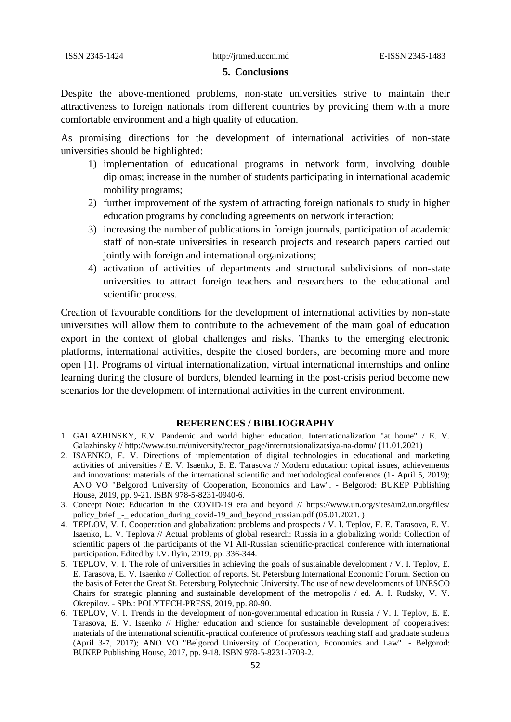### **5. Conclusions**

Despite the above-mentioned problems, non-state universities strive to maintain their attractiveness to foreign nationals from different countries by providing them with a more comfortable environment and a high quality of education.

As promising directions for the development of international activities of non-state universities should be highlighted:

- 1) implementation of educational programs in network form, involving double diplomas; increase in the number of students participating in international academic mobility programs;
- 2) further improvement of the system of attracting foreign nationals to study in higher education programs by concluding agreements on network interaction;
- 3) increasing the number of publications in foreign journals, participation of academic staff of non-state universities in research projects and research papers carried out jointly with foreign and international organizations;
- 4) activation of activities of departments and structural subdivisions of non-state universities to attract foreign teachers and researchers to the educational and scientific process.

Creation of favourable conditions for the development of international activities by non-state universities will allow them to contribute to the achievement of the main goal of education export in the context of global challenges and risks. Thanks to the emerging electronic platforms, international activities, despite the closed borders, are becoming more and more open [1]. Programs of virtual internationalization, virtual international internships and online learning during the closure of borders, blended learning in the post-crisis period become new scenarios for the development of international activities in the current environment.

## **REFERENCES / BIBLIOGRAPHY**

- 1. GALAZHINSKY, E.V. Pandemic and world higher education. Internationalization "at home" / E. V. Galazhinsky // http://www.tsu.ru/university/rector\_page/internatsionalizatsiya-na-domu/ (11.01.2021)
- 2. ISAENKO, E. V. Directions of implementation of digital technologies in educational and marketing activities of universities / E. V. Isaenko, E. E. Tarasova // Modern education: topical issues, achievements and innovations: materials of the international scientific and methodological conference (1- April 5, 2019); ANO VO "Belgorod University of Cooperation, Economics and Law". - Belgorod: BUKEP Publishing House, 2019, pp. 9-21. ISBN 978-5-8231-0940-6.
- 3. Concept Note: Education in the COVID-19 era and beyond // https://www.un.org/sites/un2.un.org/files/ policy\_brief \_-\_ education\_during\_covid-19\_and\_beyond\_russian.pdf (05.01.2021. )
- 4. TEPLOV, V. I. Cooperation and globalization: problems and prospects / V. I. Teplov, E. E. Tarasova, E. V. Isaenko, L. V. Teplova // Actual problems of global research: Russia in a globalizing world: Collection of scientific papers of the participants of the VI All-Russian scientific-practical conference with international participation. Edited by I.V. Ilyin, 2019, pp. 336-344.
- 5. TEPLOV, V. I. The role of universities in achieving the goals of sustainable development / V. I. Teplov, E. E. Tarasova, E. V. Isaenko // Collection of reports. St. Petersburg International Economic Forum. Section on the basis of Peter the Great St. Petersburg Polytechnic University. The use of new developments of UNESCO Chairs for strategic planning and sustainable development of the metropolis / ed. A. I. Rudsky, V. V. Okrepilov. - SPb.: POLYTECH-PRESS, 2019, pp. 80-90.
- 6. TEPLOV, V. I. Trends in the development of non-governmental education in Russia / V. I. Teplov, E. E. Tarasova, E. V. Isaenko // Higher education and science for sustainable development of cooperatives: materials of the international scientific-practical conference of professors teaching staff and graduate students (April 3-7, 2017); ANO VO "Belgorod University of Cooperation, Economics and Law". - Belgorod: BUKEP Publishing House, 2017, pp. 9-18. ISBN 978-5-8231-0708-2.